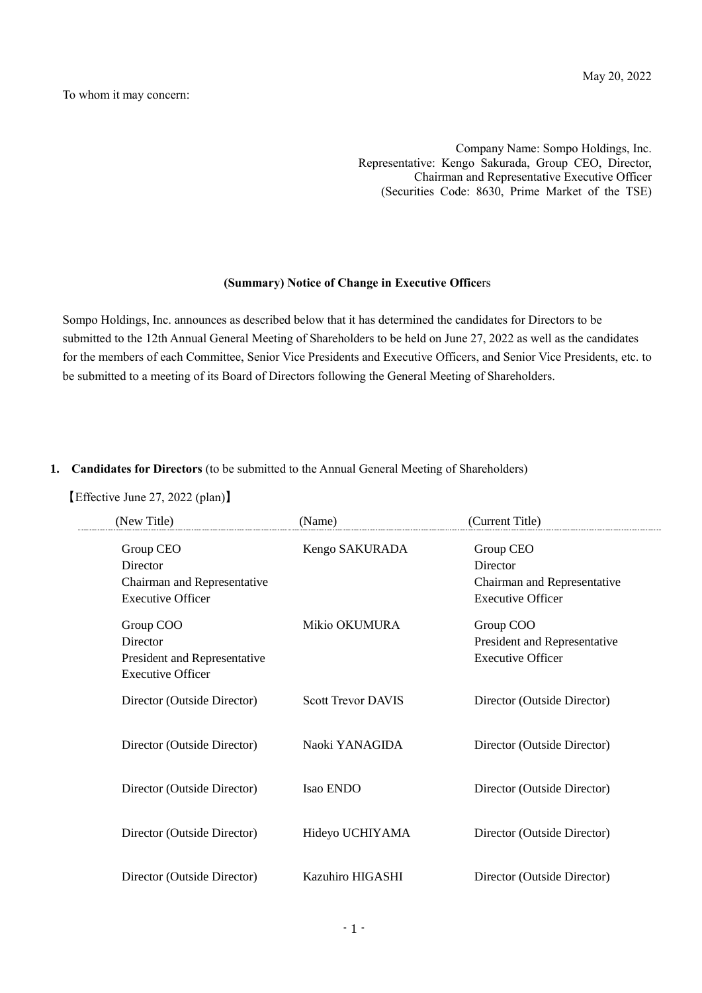Company Name: Sompo Holdings, Inc. Representative: Kengo Sakurada, Group CEO, Director, Chairman and Representative Executive Officer (Securities Code: 8630, Prime Market of the TSE)

#### **(Summary) Notice of Change in Executive Office**rs

Sompo Holdings, Inc. announces as described below that it has determined the candidates for Directors to be submitted to the 12th Annual General Meeting of Shareholders to be held on June 27, 2022 as well as the candidates for the members of each Committee, Senior Vice Presidents and Executive Officers, and Senior Vice Presidents, etc. to be submitted to a meeting of its Board of Directors following the General Meeting of Shareholders.

#### **1. Candidates for Directors** (to be submitted to the Annual General Meeting of Shareholders)

【Effective June 27, 2022 (plan)】

| (New Title)                                                                       | (Name)                    | (Current Title)                                                                  |
|-----------------------------------------------------------------------------------|---------------------------|----------------------------------------------------------------------------------|
| Group CEO<br>Director<br>Chairman and Representative<br><b>Executive Officer</b>  | Kengo SAKURADA            | Group CEO<br>Director<br>Chairman and Representative<br><b>Executive Officer</b> |
| Group COO<br>Director<br>President and Representative<br><b>Executive Officer</b> | Mikio OKUMURA             | Group COO<br>President and Representative<br><b>Executive Officer</b>            |
| Director (Outside Director)                                                       | <b>Scott Trevor DAVIS</b> | Director (Outside Director)                                                      |
| Director (Outside Director)                                                       | Naoki YANAGIDA            | Director (Outside Director)                                                      |
| Director (Outside Director)                                                       | <b>Isao ENDO</b>          | Director (Outside Director)                                                      |
| Director (Outside Director)                                                       | Hideyo UCHIYAMA           | Director (Outside Director)                                                      |
| Director (Outside Director)                                                       | Kazuhiro HIGASHI          | Director (Outside Director)                                                      |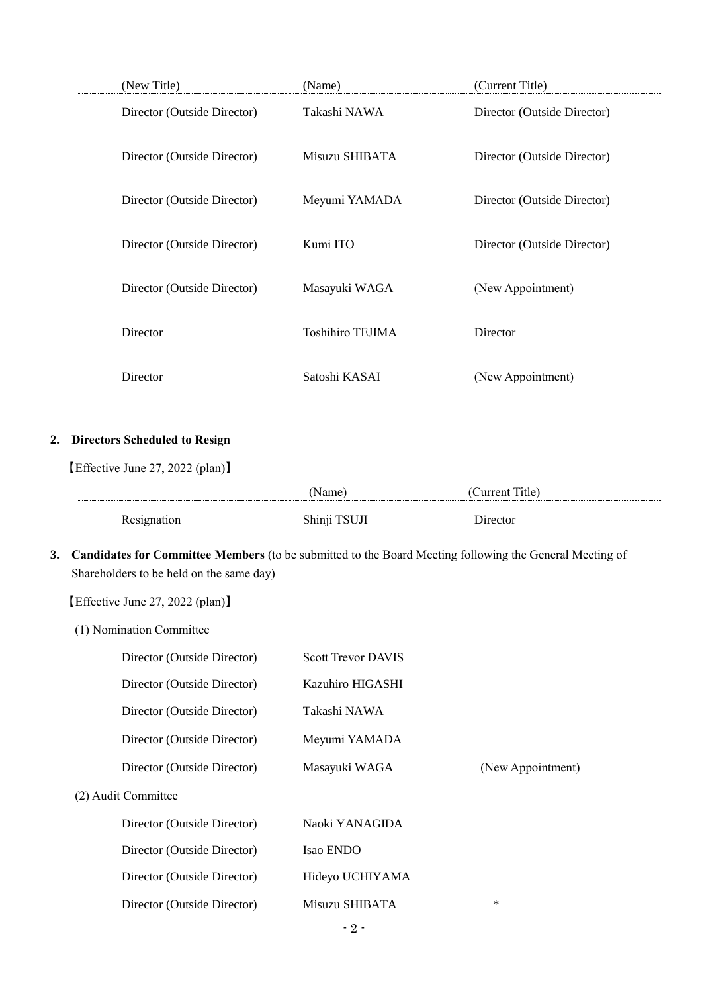| (New Title)                 | (Name)                  | (Current Title)             |
|-----------------------------|-------------------------|-----------------------------|
| Director (Outside Director) | Takashi NAWA            | Director (Outside Director) |
| Director (Outside Director) | Misuzu SHIBATA          | Director (Outside Director) |
| Director (Outside Director) | Meyumi YAMADA           | Director (Outside Director) |
| Director (Outside Director) | Kumi ITO                | Director (Outside Director) |
| Director (Outside Director) | Masayuki WAGA           | (New Appointment)           |
| Director                    | <b>Toshihiro TEJIMA</b> | Director                    |
| Director                    | Satoshi KASAI           | (New Appointment)           |

## **2. Directors Scheduled to Resign**

【Effective June 27, 2022 (plan)】

|       | Name :                | ำาพทุกท<br>$\mu$ le)<br>$0.11$ $0.11$<br> |
|-------|-----------------------|-------------------------------------------|
| 1 V V | ำราชาว<br><b>DIII</b> | )1rector                                  |

**3. Candidates for Committee Members** (to be submitted to the Board Meeting following the General Meeting of Shareholders to be held on the same day)

【Effective June 27, 2022 (plan)】

(1) Nomination Committee

| Director (Outside Director) | <b>Scott Trevor DAVIS</b> |                   |
|-----------------------------|---------------------------|-------------------|
| Director (Outside Director) | Kazuhiro HIGASHI          |                   |
| Director (Outside Director) | Takashi NAWA              |                   |
| Director (Outside Director) | Meyumi YAMADA             |                   |
| Director (Outside Director) | Masayuki WAGA             | (New Appointment) |
| (2) Audit Committee         |                           |                   |
| Director (Outside Director) | Naoki YANAGIDA            |                   |
| Director (Outside Director) | Isao ENDO                 |                   |
| Director (Outside Director) | Hideyo UCHIYAMA           |                   |
| Director (Outside Director) | Misuzu SHIBATA            | $\ast$            |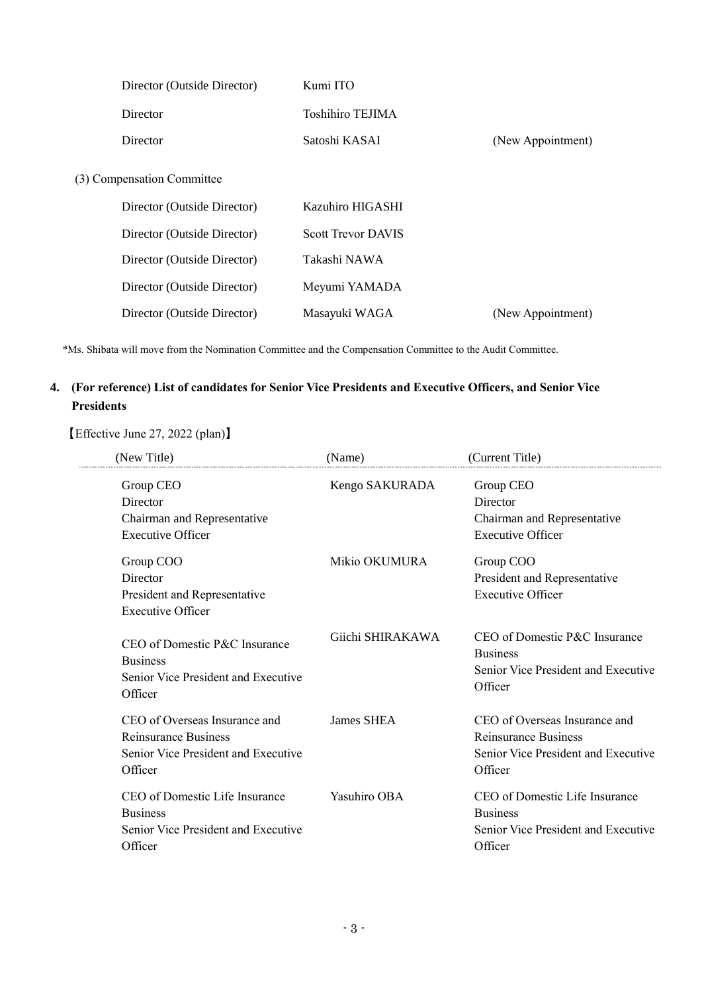| Director (Outside Director) | Kumi ITO                  |                   |
|-----------------------------|---------------------------|-------------------|
| <b>Director</b>             | Toshihiro TEJIMA          |                   |
| Director                    | Satoshi KASAI             | (New Appointment) |
| (3) Compensation Committee  |                           |                   |
| Director (Outside Director) | Kazuhiro HIGASHI          |                   |
| Director (Outside Director) | <b>Scott Trevor DAVIS</b> |                   |
| Director (Outside Director) | Takashi NAWA              |                   |
| Director (Outside Director) | Meyumi YAMADA             |                   |
| Director (Outside Director) | Masayuki WAGA             | (New Appointment) |

\*Ms. Shibata will move from the Nomination Committee and the Compensation Committee to the Audit Committee.

# **4. (For reference) List of candidates for Senior Vice Presidents and Executive Officers, and Senior Vice Presidents**

【Effective June 27, 2022 (plan)】

 $\frac{1}{2}$ 

| (New Title)                                                                                                    | (Name)           | (Current Title)                                                                                         |
|----------------------------------------------------------------------------------------------------------------|------------------|---------------------------------------------------------------------------------------------------------|
| Group CEO<br><b>Director</b><br>Chairman and Representative<br><b>Executive Officer</b>                        | Kengo SAKURADA   | Group CEO<br><b>Director</b><br>Chairman and Representative<br><b>Executive Officer</b>                 |
| Group COO<br>Director<br>President and Representative<br><b>Executive Officer</b>                              | Mikio OKUMURA    | Group COO<br>President and Representative<br><b>Executive Officer</b>                                   |
| CEO of Domestic P&C Insurance<br><b>Business</b><br>Senior Vice President and Executive<br>Officer             | Giichi SHIRAKAWA | CEO of Domestic P&C Insurance<br><b>Business</b><br>Senior Vice President and Executive<br>Officer      |
| CEO of Overseas Insurance and<br><b>Reinsurance Business</b><br>Senior Vice President and Executive<br>Officer | James SHEA       | CEO of Overseas Insurance and<br>Reinsurance Business<br>Senior Vice President and Executive<br>Officer |
| CEO of Domestic Life Insurance<br><b>Business</b><br>Senior Vice President and Executive<br>Officer            | Yasuhiro OBA     | CEO of Domestic Life Insurance<br><b>Business</b><br>Senior Vice President and Executive<br>Officer     |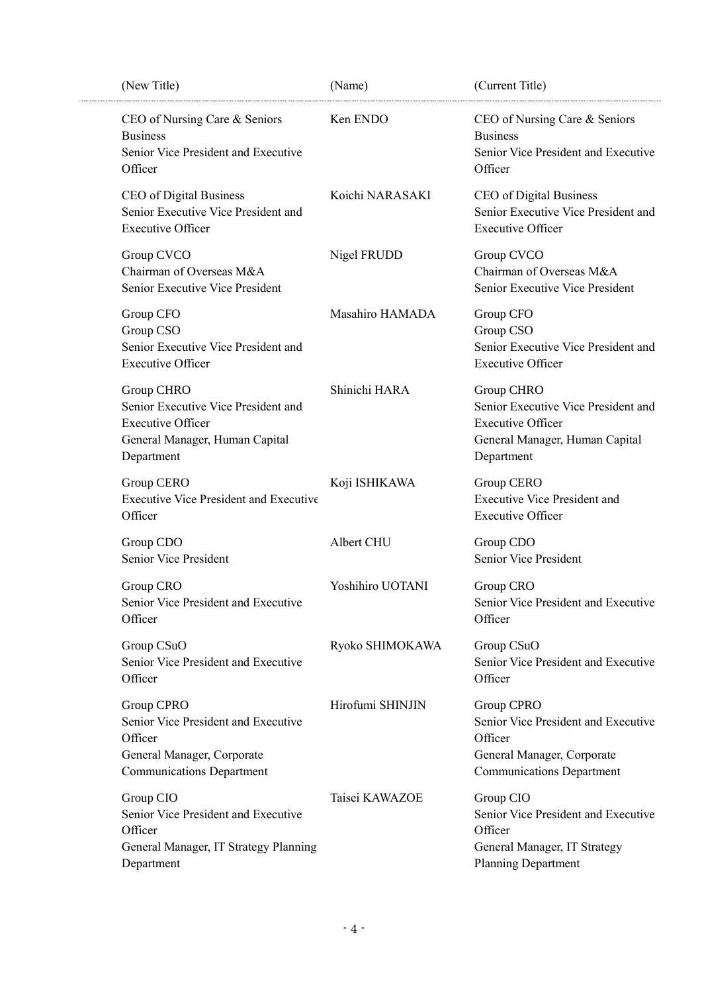| (New Title)                                                                                                                    | (Name)           | (Current Title)                                                                                                                |
|--------------------------------------------------------------------------------------------------------------------------------|------------------|--------------------------------------------------------------------------------------------------------------------------------|
| CEO of Nursing Care & Seniors<br><b>Business</b><br>Senior Vice President and Executive<br>Officer                             | Ken ENDO         | CEO of Nursing Care & Seniors<br><b>Business</b><br>Senior Vice President and Executive<br>Officer                             |
| CEO of Digital Business<br>Senior Executive Vice President and<br><b>Executive Officer</b>                                     | Koichi NARASAKI  | CEO of Digital Business<br>Senior Executive Vice President and<br><b>Executive Officer</b>                                     |
| Group CVCO<br>Chairman of Overseas M&A<br>Senior Executive Vice President                                                      | Nigel FRUDD      | Group CVCO<br>Chairman of Overseas M&A<br>Senior Executive Vice President                                                      |
| Group CFO<br>Group CSO<br>Senior Executive Vice President and<br><b>Executive Officer</b>                                      | Masahiro HAMADA  | Group CFO<br>Group CSO<br>Senior Executive Vice President and<br><b>Executive Officer</b>                                      |
| Group CHRO<br>Senior Executive Vice President and<br><b>Executive Officer</b><br>General Manager, Human Capital<br>Department  | Shinichi HARA    | Group CHRO<br>Senior Executive Vice President and<br><b>Executive Officer</b><br>General Manager, Human Capital<br>Department  |
| Group CERO<br>Executive Vice President and Executive<br>Officer                                                                | Koji ISHIKAWA    | Group CERO<br><b>Executive Vice President and</b><br><b>Executive Officer</b>                                                  |
| Group CDO<br>Senior Vice President                                                                                             | Albert CHU       | Group CDO<br>Senior Vice President                                                                                             |
| Group CRO<br>Senior Vice President and Executive<br>Officer                                                                    | Yoshihiro UOTANI | Group CRO<br>Senior Vice President and Executive<br>Officer                                                                    |
| Group CSuO<br>Senior Vice President and Executive<br>Officer                                                                   | Ryoko SHIMOKAWA  | Group CSuO<br>Senior Vice President and Executive<br>Officer                                                                   |
| Group CPRO<br>Senior Vice President and Executive<br>Officer<br>General Manager, Corporate<br><b>Communications Department</b> | Hirofumi SHINJIN | Group CPRO<br>Senior Vice President and Executive<br>Officer<br>General Manager, Corporate<br><b>Communications Department</b> |
| Group CIO<br>Senior Vice President and Executive<br>Officer<br>General Manager, IT Strategy Planning<br>Department             | Taisei KAWAZOE   | Group CIO<br>Senior Vice President and Executive<br>Officer<br>General Manager, IT Strategy<br><b>Planning Department</b>      |